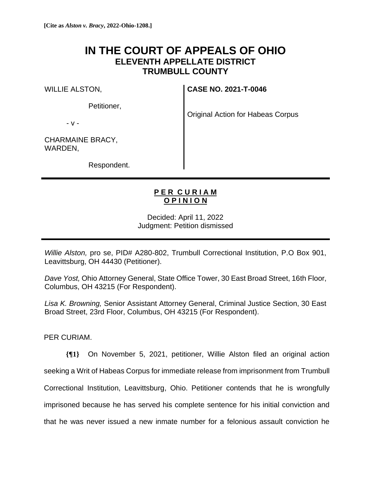## **IN THE COURT OF APPEALS OF OHIO ELEVENTH APPELLATE DISTRICT TRUMBULL COUNTY**

WILLIE ALSTON,

Petitioner,

**CASE NO. 2021-T-0046**

Original Action for Habeas Corpus

- v -

CHARMAINE BRACY, WARDEN,

Respondent.

## **P E R C U R I A M O P I N I O N**

Decided: April 11, 2022 Judgment: Petition dismissed

*Willie Alston,* pro se, PID# A280-802, Trumbull Correctional Institution, P.O Box 901, Leavittsburg, OH 44430 (Petitioner).

*Dave Yost,* Ohio Attorney General, State Office Tower, 30 East Broad Street, 16th Floor, Columbus, OH 43215 (For Respondent).

*Lisa K. Browning,* Senior Assistant Attorney General, Criminal Justice Section, 30 East Broad Street, 23rd Floor, Columbus, OH 43215 (For Respondent).

PER CURIAM.

**{¶1}** On November 5, 2021, petitioner, Willie Alston filed an original action seeking a Writ of Habeas Corpus for immediate release from imprisonment from Trumbull Correctional Institution, Leavittsburg, Ohio. Petitioner contends that he is wrongfully imprisoned because he has served his complete sentence for his initial conviction and that he was never issued a new inmate number for a felonious assault conviction he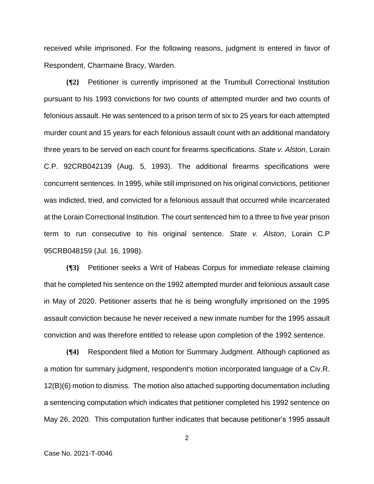received while imprisoned. For the following reasons, judgment is entered in favor of Respondent, Charmaine Bracy, Warden.

**{¶2}** Petitioner is currently imprisoned at the Trumbull Correctional Institution pursuant to his 1993 convictions for two counts of attempted murder and two counts of felonious assault. He was sentenced to a prison term of six to 25 years for each attempted murder count and 15 years for each felonious assault count with an additional mandatory three years to be served on each count for firearms specifications. *State v. Alston*, Lorain C.P. 92CRB042139 (Aug. 5, 1993). The additional firearms specifications were concurrent sentences. In 1995, while still imprisoned on his original convictions, petitioner was indicted, tried, and convicted for a felonious assault that occurred while incarcerated at the Lorain Correctional Institution. The court sentenced him to a three to five year prison term to run consecutive to his original sentence. *State v. Alston*, Lorain C.P 95CRB048159 (Jul. 16, 1998).

**{¶3}** Petitioner seeks a Writ of Habeas Corpus for immediate release claiming that he completed his sentence on the 1992 attempted murder and felonious assault case in May of 2020. Petitioner asserts that he is being wrongfully imprisoned on the 1995 assault conviction because he never received a new inmate number for the 1995 assault conviction and was therefore entitled to release upon completion of the 1992 sentence.

**{¶4}** Respondent filed a Motion for Summary Judgment. Although captioned as a motion for summary judgment, respondent's motion incorporated language of a Civ.R. 12(B)(6) motion to dismiss. The motion also attached supporting documentation including a sentencing computation which indicates that petitioner completed his 1992 sentence on May 26, 2020. This computation further indicates that because petitioner's 1995 assault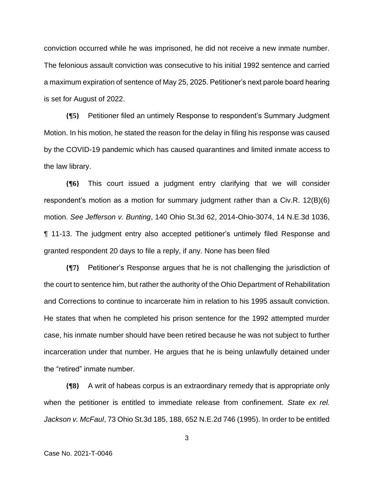conviction occurred while he was imprisoned, he did not receive a new inmate number. The felonious assault conviction was consecutive to his initial 1992 sentence and carried a maximum expiration of sentence of May 25, 2025. Petitioner's next parole board hearing is set for August of 2022.

**{¶5}** Petitioner filed an untimely Response to respondent's Summary Judgment Motion. In his motion, he stated the reason for the delay in filing his response was caused by the COVID-19 pandemic which has caused quarantines and limited inmate access to the law library.

**{¶6}** This court issued a judgment entry clarifying that we will consider respondent's motion as a motion for summary judgment rather than a Civ.R. 12(B)(6) motion. *See Jefferson v. Bunting*, 140 Ohio St.3d 62, 2014-Ohio-3074, 14 N.E.3d 1036, ¶ 11-13. The judgment entry also accepted petitioner's untimely filed Response and granted respondent 20 days to file a reply, if any. None has been filed

**{¶7}** Petitioner's Response argues that he is not challenging the jurisdiction of the court to sentence him, but rather the authority of the Ohio Department of Rehabilitation and Corrections to continue to incarcerate him in relation to his 1995 assault conviction. He states that when he completed his prison sentence for the 1992 attempted murder case, his inmate number should have been retired because he was not subject to further incarceration under that number. He argues that he is being unlawfully detained under the "retired" inmate number.

**{¶8}** A writ of habeas corpus is an extraordinary remedy that is appropriate only when the petitioner is entitled to immediate release from confinement. *State ex rel. Jackson v. McFaul*, 73 Ohio St.3d 185, 188, 652 N.E.2d 746 (1995). In order to be entitled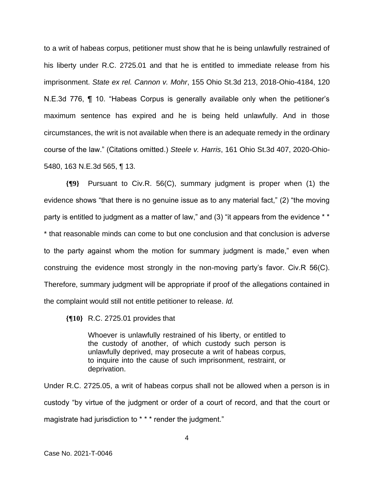to a writ of habeas corpus, petitioner must show that he is being unlawfully restrained of his liberty under R.C. 2725.01 and that he is entitled to immediate release from his imprisonment. *State ex rel. Cannon v. Mohr*, 155 Ohio St.3d 213, 2018-Ohio-4184, 120 N.E.3d 776, ¶ 10. "Habeas Corpus is generally available only when the petitioner's maximum sentence has expired and he is being held unlawfully. And in those circumstances, the writ is not available when there is an adequate remedy in the ordinary course of the law." (Citations omitted.) *Steele v. Harris*, 161 Ohio St.3d 407, 2020-Ohio-5480, 163 N.E.3d 565, ¶ 13.

**{¶9}** Pursuant to Civ.R. 56(C), summary judgment is proper when (1) the evidence shows "that there is no genuine issue as to any material fact," (2) "the moving party is entitled to judgment as a matter of law," and (3) "it appears from the evidence \*\* \* that reasonable minds can come to but one conclusion and that conclusion is adverse to the party against whom the motion for summary judgment is made," even when construing the evidence most strongly in the non-moving party's favor. Civ.R 56(C). Therefore, summary judgment will be appropriate if proof of the allegations contained in the complaint would still not entitle petitioner to release. *Id.* 

**{¶10}** R.C. 2725.01 provides that

Whoever is unlawfully restrained of his liberty, or entitled to the custody of another, of which custody such person is unlawfully deprived, may prosecute a writ of habeas corpus, to inquire into the cause of such imprisonment, restraint, or deprivation.

Under R.C. 2725.05, a writ of habeas corpus shall not be allowed when a person is in custody "by virtue of the judgment or order of a court of record, and that the court or magistrate had jurisdiction to \* \* \* render the judgment."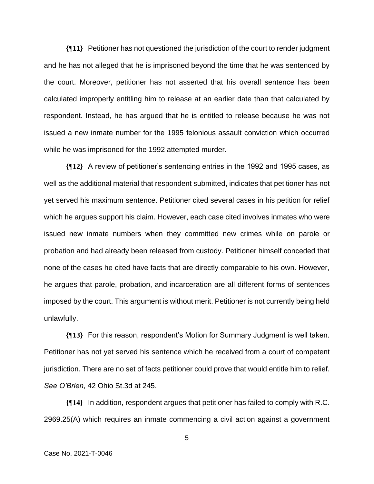**{¶11}** Petitioner has not questioned the jurisdiction of the court to render judgment and he has not alleged that he is imprisoned beyond the time that he was sentenced by the court. Moreover, petitioner has not asserted that his overall sentence has been calculated improperly entitling him to release at an earlier date than that calculated by respondent. Instead, he has argued that he is entitled to release because he was not issued a new inmate number for the 1995 felonious assault conviction which occurred while he was imprisoned for the 1992 attempted murder.

**{¶12}** A review of petitioner's sentencing entries in the 1992 and 1995 cases, as well as the additional material that respondent submitted, indicates that petitioner has not yet served his maximum sentence. Petitioner cited several cases in his petition for relief which he argues support his claim. However, each case cited involves inmates who were issued new inmate numbers when they committed new crimes while on parole or probation and had already been released from custody. Petitioner himself conceded that none of the cases he cited have facts that are directly comparable to his own. However, he argues that parole, probation, and incarceration are all different forms of sentences imposed by the court. This argument is without merit. Petitioner is not currently being held unlawfully.

**{¶13}** For this reason, respondent's Motion for Summary Judgment is well taken. Petitioner has not yet served his sentence which he received from a court of competent jurisdiction. There are no set of facts petitioner could prove that would entitle him to relief. *See O'Brien*, 42 Ohio St.3d at 245.

**{¶14}** In addition, respondent argues that petitioner has failed to comply with R.C. 2969.25(A) which requires an inmate commencing a civil action against a government